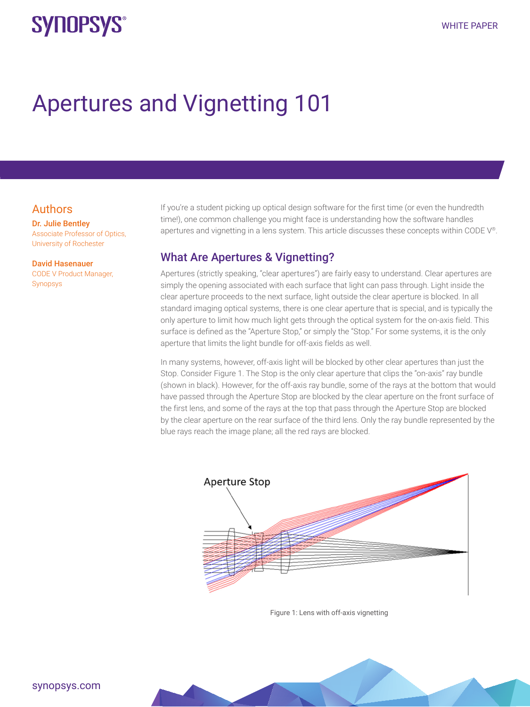# **SYNOPSYS®**

# Apertures and Vignetting 101

### Authors

Dr. Julie Bentley Associate Professor of Optics, University of Rochester

#### David Hasenauer

CODE V Product Manager, Synopsys

If you're a student picking up optical design software for the first time (or even the hundredth time!), one common challenge you might face is understanding how the software handles apertures and vignetting in a lens system. This article discusses these concepts within CODE V®.

### What Are Apertures & Vignetting?

Apertures (strictly speaking, "clear apertures") are fairly easy to understand. Clear apertures are simply the opening associated with each surface that light can pass through. Light inside the clear aperture proceeds to the next surface, light outside the clear aperture is blocked. In all standard imaging optical systems, there is one clear aperture that is special, and is typically the only aperture to limit how much light gets through the optical system for the on-axis field. This surface is defined as the "Aperture Stop," or simply the "Stop." For some systems, it is the only aperture that limits the light bundle for off-axis fields as well.

In many systems, however, off-axis light will be blocked by other clear apertures than just the Stop. Consider Figure 1. The Stop is the only clear aperture that clips the "on-axis" ray bundle (shown in black). However, for the off-axis ray bundle, some of the rays at the bottom that would have passed through the Aperture Stop are blocked by the clear aperture on the front surface of the first lens, and some of the rays at the top that pass through the Aperture Stop are blocked by the clear aperture on the rear surface of the third lens. Only the ray bundle represented by the blue rays reach the image plane; all the red rays are blocked.



Figure 1: Lens with off-axis vignetting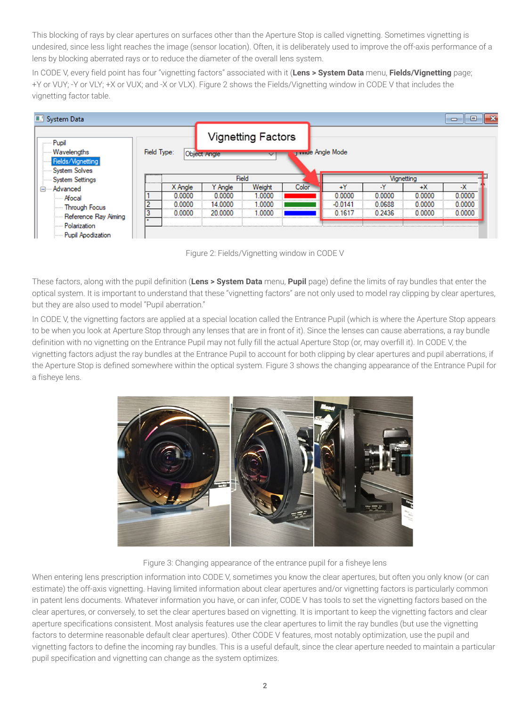This blocking of rays by clear apertures on surfaces other than the Aperture Stop is called vignetting. Sometimes vignetting is undesired, since less light reaches the image (sensor location). Often, it is deliberately used to improve the off-axis performance of a lens by blocking aberrated rays or to reduce the diameter of the overall lens system.

In CODE V, every field point has four "vignetting factors" associated with it (**Lens > System Data** menu, **Fields/Vignetting** page; +Y or VUY; -Y or VLY; +X or VUX; and -X or VLX). Figure 2 shows the Fields/Vignetting window in CODE V that includes the vignetting factor table.



Figure 2: Fields/Vignetting window in CODE V

These factors, along with the pupil definition (**Lens > System Data** menu, **Pupil** page) define the limits of ray bundles that enter the optical system. It is important to understand that these "vignetting factors" are not only used to model ray clipping by clear apertures, but they are also used to model "Pupil aberration."

In CODE V, the vignetting factors are applied at a special location called the Entrance Pupil (which is where the Aperture Stop appears to be when you look at Aperture Stop through any lenses that are in front of it). Since the lenses can cause aberrations, a ray bundle definition with no vignetting on the Entrance Pupil may not fully fill the actual Aperture Stop (or, may overfill it). In CODE V, the vignetting factors adjust the ray bundles at the Entrance Pupil to account for both clipping by clear apertures and pupil aberrations, if the Aperture Stop is defined somewhere within the optical system. Figure 3 shows the changing appearance of the Entrance Pupil for a fisheye lens.



#### Figure 3: Changing appearance of the entrance pupil for a fisheye lens

When entering lens prescription information into CODE V, sometimes you know the clear apertures, but often you only know (or can estimate) the off-axis vignetting. Having limited information about clear apertures and/or vignetting factors is particularly common in patent lens documents. Whatever information you have, or can infer, CODE V has tools to set the vignetting factors based on the clear apertures, or conversely, to set the clear apertures based on vignetting. It is important to keep the vignetting factors and clear aperture specifications consistent. Most analysis features use the clear apertures to limit the ray bundles (but use the vignetting factors to determine reasonable default clear apertures). Other CODE V features, most notably optimization, use the pupil and vignetting factors to define the incoming ray bundles. This is a useful default, since the clear aperture needed to maintain a particular pupil specification and vignetting can change as the system optimizes.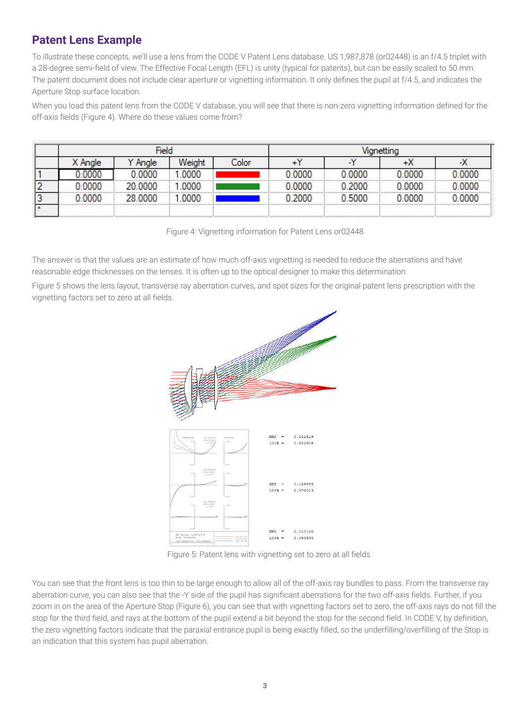# **Patent Lens Example**

To illustrate these concepts, we'll use a lens from the CODE V Patent Lens database. US 1,987,878 (or02448) is an f/4.5 triplet with a 28-degree semi-field of view. The Effective Focal Length (EFL) is unity (typical for patents), but can be easily scaled to 50 mm. The patent document does not include clear aperture or vignetting information. It only defines the pupil at f/4.5, and indicates the Aperture Stop surface location.

When you load this patent lens from the CODE V database, you will see that there is non-zero vignetting information defined for the off-axis fields (Figure 4). Where do these values come from?

| olor |                                    |  |  |      |  |  |                                   |  |
|------|------------------------------------|--|--|------|--|--|-----------------------------------|--|
|      |                                    |  |  |      |  |  |                                   |  |
|      |                                    |  |  | nnnn |  |  |                                   |  |
|      | ---------------------------------- |  |  |      |  |  | ,,,,,,,,,,,,,,,,,,,,,,,,,,,,,,,,, |  |
|      |                                    |  |  |      |  |  |                                   |  |

Figure 4: Vignetting information for Patent Lens or02448

The answer is that the values are an estimate of how much off-axis vignetting is needed to reduce the aberrations and have reasonable edge thicknesses on the lenses. It is often up to the optical designer to make this determination.

Figure 5 shows the lens layout, transverse ray aberration curves, and spot sizes for the original patent lens prescription with the vignetting factors set to zero at all fields.



Figure 5: Patent lens with vignetting set to zero at all fields

You can see that the front lens is too thin to be large enough to allow all of the off-axis ray bundles to pass. From the transverse ray aberration curve, you can also see that the -Y side of the pupil has significant aberrations for the two off-axis fields. Further, if you zoom in on the area of the Aperture Stop (Figure 6), you can see that with vignetting factors set to zero, the off-axis rays do not fill the stop for the third field, and rays at the bottom of the pupil extend a bit beyond the stop for the second field. In CODE V, by definition, the zero vignetting factors indicate that the paraxial entrance pupil is being exactly filled, so the underfilling/overfilling of the Stop is an indication that this system has pupil aberration.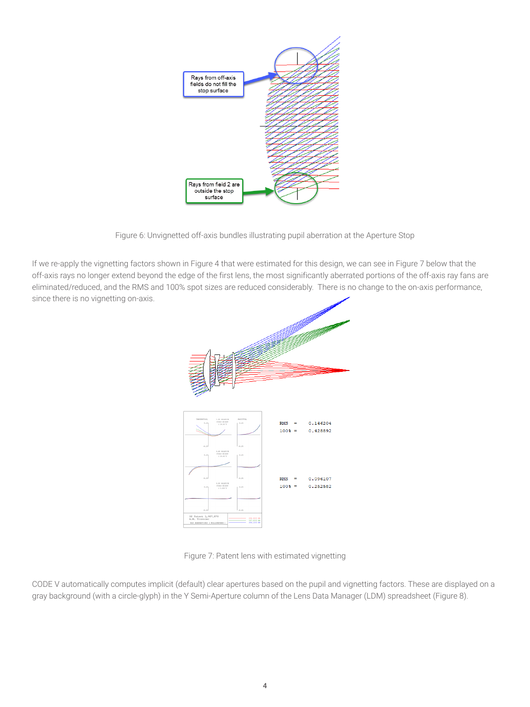

Figure 6: Unvignetted off-axis bundles illustrating pupil aberration at the Aperture Stop

If we re-apply the vignetting factors shown in Figure 4 that were estimated for this design, we can see in Figure 7 below that the off-axis rays no longer extend beyond the edge of the first lens, the most significantly aberrated portions of the off-axis ray fans are eliminated/reduced, and the RMS and 100% spot sizes are reduced considerably. There is no change to the on-axis performance, since there is no vignetting on-axis.



Figure 7: Patent lens with estimated vignetting

CODE V automatically computes implicit (default) clear apertures based on the pupil and vignetting factors. These are displayed on a gray background (with a circle-glyph) in the Y Semi-Aperture column of the Lens Data Manager (LDM) spreadsheet (Figure 8).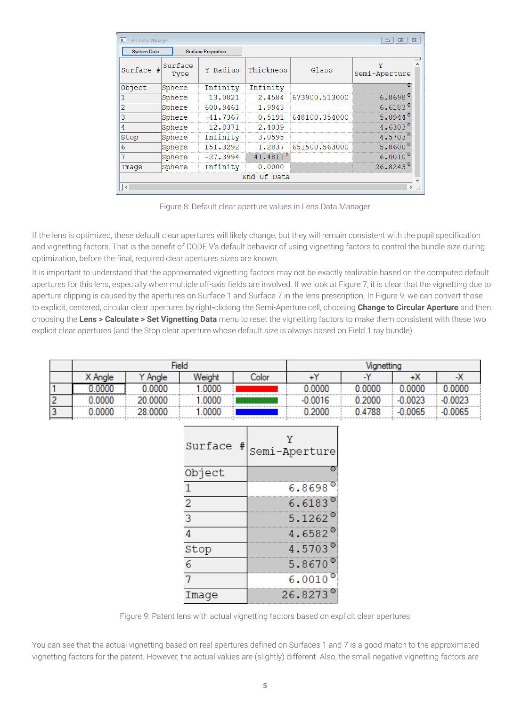| $\Sigma$<br><b>E.'</b> Lens Data Manager<br>$\Box$<br>$\Box$ |        |                    |                      |               |                    |  |  |  |  |
|--------------------------------------------------------------|--------|--------------------|----------------------|---------------|--------------------|--|--|--|--|
| System Data                                                  |        | Surface Properties |                      |               |                    |  |  |  |  |
| Surface<br>Surface<br>Type                                   |        | Y Radius           | Thickness            | Glass         | Y<br>Semi-Aperture |  |  |  |  |
| Object                                                       | Sphere | Infinity           | Infinity             |               |                    |  |  |  |  |
|                                                              | Sphere | 13.0821            | 2.4584               | 673900.513000 | $6.8698^{\circ}$   |  |  |  |  |
| 2                                                            | Sphere | 600.9461           | 1.9943               |               | $6.6183^{\circ}$   |  |  |  |  |
| 3                                                            | Sphere | $-41.7367$         | 0.5191               | 648100.354000 | $5.0944^{\circ}$   |  |  |  |  |
| 4                                                            | Sphere | 12.8371            | 2.4039               |               | 4.6303 $^{\circ}$  |  |  |  |  |
| Stop                                                         | Sphere | Infinity           | 3.0595               |               | 4.5703 $^{\circ}$  |  |  |  |  |
| 6                                                            | Sphere | 151,3292           | 1,2837               | 651500.563000 | $5.8600^{\circ}$   |  |  |  |  |
| 7                                                            | Sphere | $-27.3994$         | 41.4811 <sup>s</sup> |               | $6.0010^{\circ}$   |  |  |  |  |
| Image                                                        | Sphere | Infinity           | 0.0000               |               | $26.8243^{\circ}$  |  |  |  |  |
| End Of Data                                                  |        |                    |                      |               |                    |  |  |  |  |
| $\vert$ <<br>$\rightarrow$<br>цĒ                             |        |                    |                      |               |                    |  |  |  |  |

Figure 8: Default clear aperture values in Lens Data Manager

If the lens is optimized, these default clear apertures will likely change, but they will remain consistent with the pupil specification and vignetting factors. That is the benefit of CODE V's default behavior of using vignetting factors to control the bundle size during optimization, before the final, required clear apertures sizes are known.

It is important to understand that the approximated vignetting factors may not be exactly realizable based on the computed default apertures for this lens, especially when multiple off-axis fields are involved. If we look at Figure 7, it is clear that the vignetting due to aperture clipping is caused by the apertures on Surface 1 and Surface 7 in the lens prescription. In Figure 9, we can convert those to explicit, centered, circular clear apertures by right-clicking the Semi-Aperture cell, choosing **Change to Circular Aperture** and then choosing the **Lens > Calculate > Set Vignetting Data** menu to reset the vignetting factors to make them consistent with these two explicit clear apertures (and the Stop clear aperture whose default size is always based on Field 1 ray bundle).

|   |         |         | Field  | Vignetting |           |        |        |           |
|---|---------|---------|--------|------------|-----------|--------|--------|-----------|
|   | X Angle | Anale   | Weight | Color      | ᆂᄣ        | $\sim$ | т Л    | -75       |
|   |         | 0.0000  | .0000  |            | 0.0000    | 0.000C | 0.0000 | 0.0000    |
| - | 0.0000  | 20,0000 | .0000  |            | $-0.0016$ | 0.2000 | 0.0023 | 0.0023    |
| v | 0.0000  | 28.0000 | .0000  |            | .2000     | 0.4788 | 0.0065 | $-0.0065$ |

| Surface<br>#   | Semi-Aperture     |
|----------------|-------------------|
| Object         |                   |
| 1              | $6.8698^{\circ}$  |
| $\overline{2}$ | $6.6183^{\circ}$  |
| $\overline{3}$ | 5.1262 $^{\circ}$ |
| $\overline{4}$ | 4.6582 $^{\circ}$ |
| Stop           | 4.5703 $^{\circ}$ |
| 6              | 5.8670 $^{\circ}$ |
|                | $6.0010^{\circ}$  |
| Image          | $26.8273^{\circ}$ |

Figure 9: Patent lens with actual vignetting factors based on explicit clear apertures

You can see that the actual vignetting based on real apertures defined on Surfaces 1 and 7 is a good match to the approximated vignetting factors for the patent. However, the actual values are (slightly) different. Also, the small negative vignetting factors are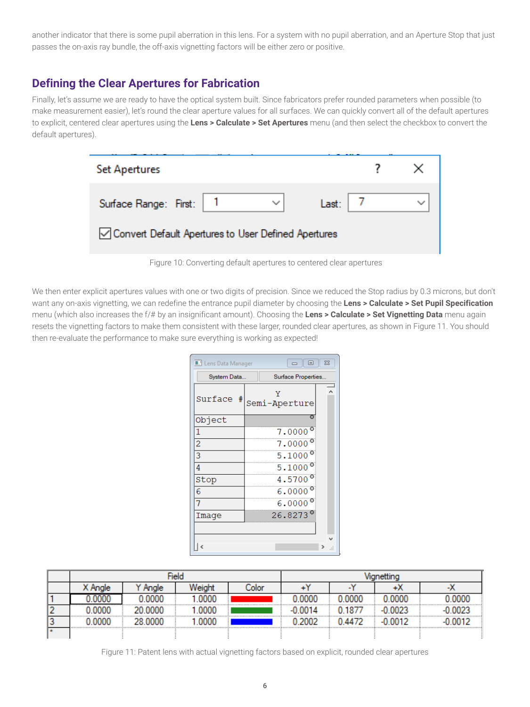another indicator that there is some pupil aberration in this lens. For a system with no pupil aberration, and an Aperture Stop that just passes the on-axis ray bundle, the off-axis vignetting factors will be either zero or positive.

# **Defining the Clear Apertures for Fabrication**

Finally, let's assume we are ready to have the optical system built. Since fabricators prefer rounded parameters when possible (to make measurement easier), let's round the clear aperture values for all surfaces. We can quickly convert all of the default apertures to explicit, centered clear apertures using the **Lens > Calculate > Set Apertures** menu (and then select the checkbox to convert the default apertures).

| <b>Set Apertures</b>                                  |              |       |  |
|-------------------------------------------------------|--------------|-------|--|
| Surface Range: First: 1                               | $\checkmark$ | Last: |  |
| √ Convert Default Apertures to User Defined Apertures |              |       |  |



We then enter explicit apertures values with one or two digits of precision. Since we reduced the Stop radius by 0.3 microns, but don't want any on-axis vignetting, we can redefine the entrance pupil diameter by choosing the **Lens > Calculate > Set Pupil Specification** menu (which also increases the f/# by an insignificant amount). Choosing the **Lens > Calculate > Set Vignetting Data** menu again resets the vignetting factors to make them consistent with these larger, rounded clear apertures, as shown in Figure 11. You should then re-evaluate the performance to make sure everything is working as expected!

| <b>R.</b> Lens Data Manager |  |   |                    | 回 | $\Sigma$ |  |
|-----------------------------|--|---|--------------------|---|----------|--|
| System Data                 |  |   | Surface Properties |   |          |  |
| Surface #                   |  | Υ | Semi-Aperture      |   |          |  |
| Object                      |  |   |                    |   |          |  |
| 1                           |  |   | $7.0000^{\circ}$   |   |          |  |
| $\overline{2}$              |  |   | $7.0000^{\circ}$   |   |          |  |
| 3                           |  |   | $5.1000^{\circ}$   |   |          |  |
| 4                           |  |   | $5.1000^{\circ}$   |   |          |  |
| Stop                        |  |   | 4.5700 $^{\circ}$  |   |          |  |
| 6                           |  |   | $6.0000^{\circ}$   |   |          |  |
|                             |  |   | $6.0000^{\circ}$   |   |          |  |
| Image                       |  |   | $26.8273^{\circ}$  |   |          |  |
|                             |  |   |                    |   |          |  |
|                             |  |   |                    |   |          |  |
|                             |  |   |                    |   |          |  |

|   |     | <b>Tield</b> |  |  |          |  |  |         |
|---|-----|--------------|--|--|----------|--|--|---------|
|   | olo |              |  |  |          |  |  |         |
|   |     |              |  |  | noor<br> |  |  | <b></b> |
|   |     |              |  |  |          |  |  |         |
| v |     |              |  |  |          |  |  |         |
|   |     |              |  |  |          |  |  |         |

Figure 11: Patent lens with actual vignetting factors based on explicit, rounded clear apertures